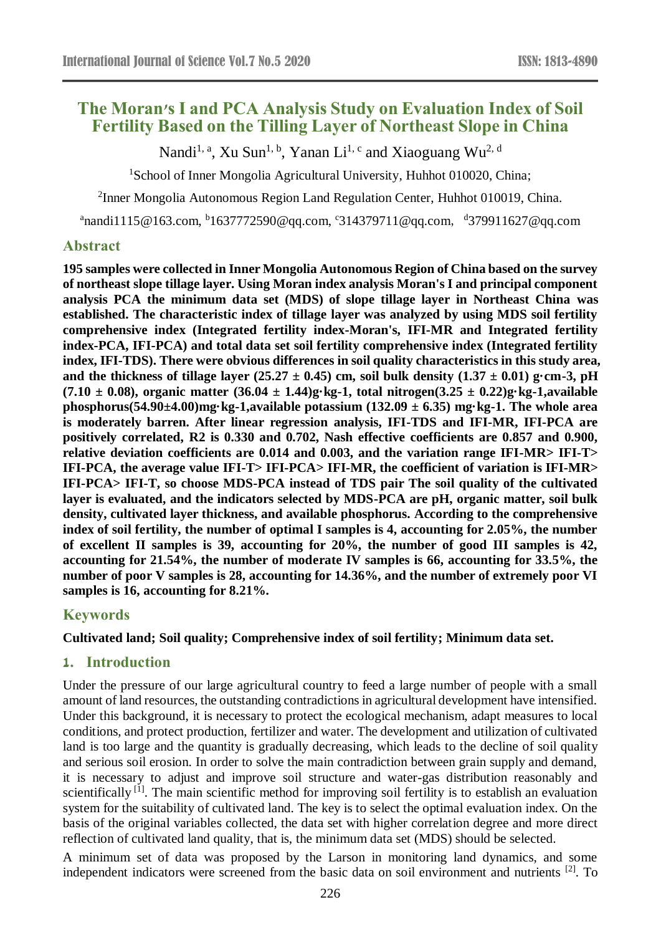# **The Moran's I and PCA Analysis Study on Evaluation Index of Soil Fertility Based on the Tilling Layer of Northeast Slope in China**

Nandi<sup>1, a</sup>, Xu Sun<sup>1, b</sup>, Yanan Li<sup>1, c</sup> and Xiaoguang Wu<sup>2, d</sup>

<sup>1</sup>School of Inner Mongolia Agricultural University, Huhhot 010020, China;

<sup>2</sup>Inner Mongolia Autonomous Region Land Regulation Center, Huhhot 010019, China.

 $a<sup>a</sup>$ nandi $1115@163$ .com,  $b<sup>b</sup>1637772590@qq.com$ ,  $c<sup>c</sup>314379711@qq.com$ ,  $d<sup>d</sup>379911627@qq.com$ 

### **Abstract**

**195 samples were collected in Inner Mongolia Autonomous Region of China based on the survey of northeast slope tillage layer. Using Moran index analysis Moran's I and principal component analysis PCA the minimum data set (MDS) of slope tillage layer in Northeast China was established. The characteristic index of tillage layer was analyzed by using MDS soil fertility comprehensive index (Integrated fertility index-Moran's, IFI-MR and Integrated fertility index-PCA, IFI-PCA) and total data set soil fertility comprehensive index (Integrated fertility index, IFI-TDS). There were obvious differences in soil quality characteristics in this study area,**  and the thickness of tillage layer  $(25.27 \pm 0.45)$  cm, soil bulk density  $(1.37 \pm 0.01)$  g·cm-3, pH **(7.10 ± 0.08), organic matter (36.04 ± 1.44)g·kg-1, total nitrogen(3.25 ± 0.22)g·kg-1,available phosphorus(54.90±4.00)mg·kg-1,available potassium (132.09 ± 6.35) mg·kg-1. The whole area is moderately barren. After linear regression analysis, IFI-TDS and IFI-MR, IFI-PCA are positively correlated, R2 is 0.330 and 0.702, Nash effective coefficients are 0.857 and 0.900, relative deviation coefficients are 0.014 and 0.003, and the variation range IFI-MR> IFI-T> IFI-PCA, the average value IFI-T> IFI-PCA> IFI-MR, the coefficient of variation is IFI-MR> IFI-PCA> IFI-T, so choose MDS-PCA instead of TDS pair The soil quality of the cultivated layer is evaluated, and the indicators selected by MDS-PCA are pH, organic matter, soil bulk density, cultivated layer thickness, and available phosphorus. According to the comprehensive index of soil fertility, the number of optimal I samples is 4, accounting for 2.05%, the number of excellent II samples is 39, accounting for 20%, the number of good III samples is 42, accounting for 21.54%, the number of moderate IV samples is 66, accounting for 33.5%, the number of poor V samples is 28, accounting for 14.36%, and the number of extremely poor VI samples is 16, accounting for 8.21%.**

# **Keywords**

#### **Cultivated land; Soil quality; Comprehensive index of soil fertility; Minimum data set.**

### **1. Introduction**

Under the pressure of our large agricultural country to feed a large number of people with a small amount of land resources, the outstanding contradictions in agricultural development have intensified. Under this background, it is necessary to protect the ecological mechanism, adapt measures to local conditions, and protect production, fertilizer and water. The development and utilization of cultivated land is too large and the quantity is gradually decreasing, which leads to the decline of soil quality and serious soil erosion. In order to solve the main contradiction between grain supply and demand, it is necessary to adjust and improve soil structure and water-gas distribution reasonably and scientifically <sup>[1]</sup>. The main scientific method for improving soil fertility is to establish an evaluation system for the suitability of cultivated land. The key is to select the optimal evaluation index. On the basis of the original variables collected, the data set with higher correlation degree and more direct reflection of cultivated land quality, that is, the minimum data set (MDS) should be selected.

A minimum set of data was proposed by the Larson in monitoring land dynamics, and some independent indicators were screened from the basic data on soil environment and nutrients [2]. To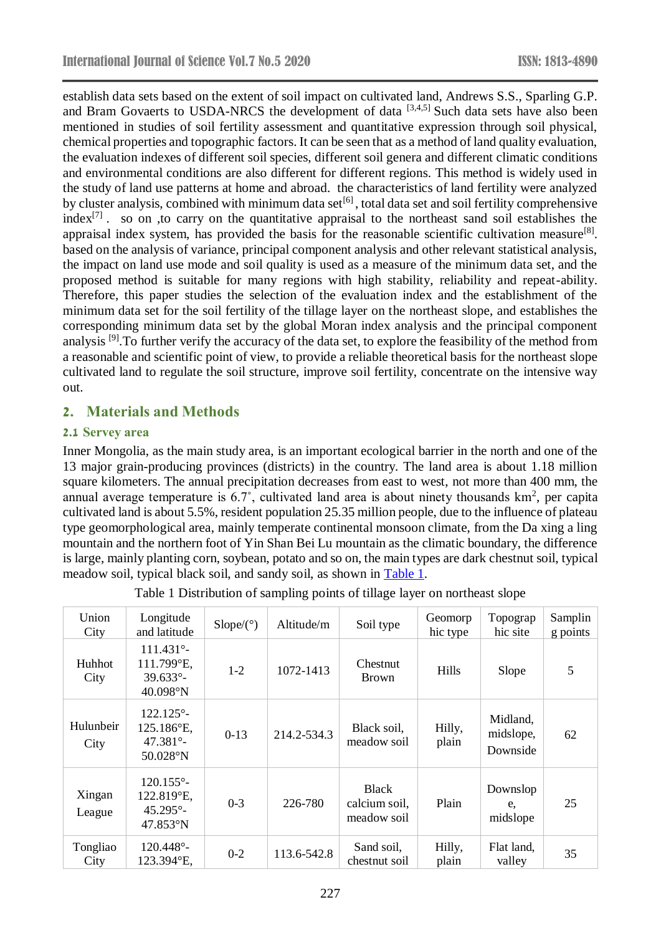establish data sets based on the extent of soil impact on cultivated land, Andrews S.S., Sparling G.P. and Bram Govaerts to USDA-NRCS the development of data  $[3,4,5]$  Such data sets have also been mentioned in studies of soil fertility assessment and quantitative expression through soil physical, chemical properties and topographic factors. It can be seen that as a method of land quality evaluation, the evaluation indexes of different soil species, different soil genera and different climatic conditions and environmental conditions are also different for different regions. This method is widely used in the study of land use patterns at home and abroad. the characteristics of land fertility were analyzed by cluster analysis, combined with minimum data set<sup>[6]</sup>, total data set and soil fertility comprehensive  $index^{[7]}$ . so on ,to carry on the quantitative appraisal to the northeast sand soil establishes the appraisal index system, has provided the basis for the reasonable scientific cultivation measure<sup>[8]</sup>. based on the analysis of variance, principal component analysis and other relevant statistical analysis, the impact on land use mode and soil quality is used as a measure of the minimum data set, and the proposed method is suitable for many regions with high stability, reliability and repeat-ability. Therefore, this paper studies the selection of the evaluation index and the establishment of the minimum data set for the soil fertility of the tillage layer on the northeast slope, and establishes the corresponding minimum data set by the global Moran index analysis and the principal component analysis [9].To further verify the accuracy of the data set, to explore the feasibility of the method from a reasonable and scientific point of view, to provide a reliable theoretical basis for the northeast slope cultivated land to regulate the soil structure, improve soil fertility, concentrate on the intensive way out.

### **2. Materials and Methods**

### **2.1 Servey area**

Inner Mongolia, as the main study area, is an important ecological barrier in the north and one of the 13 major grain-producing provinces (districts) in the country. The land area is about 1.18 million square kilometers. The annual precipitation decreases from east to west, not more than 400 mm, the annual average temperature is 6.7°, cultivated land area is about ninety thousands  $km^2$ , per capita cultivated land is about 5.5%, resident population 25.35 million people, due to the influence of plateau type geomorphological area, mainly temperate continental monsoon climate, from the Da xing a ling mountain and the northern foot of Yin Shan Bei Lu mountain as the climatic boundary, the difference is large, mainly planting corn, soybean, potato and so on, the main types are dark chestnut soil, typical meadow soil, typical black soil, and sandy soil, as shown in Table 1.

Table 1 Distribution of sampling points of tillage layer on northeast slope

| Union<br>City     | Longitude<br>and latitude                                                    | $Slope(\degree)$ | Altitude/m  | Soil type                                    | Geomorp<br>hic type | Topograp<br>hic site              | Samplin<br>g points |
|-------------------|------------------------------------------------------------------------------|------------------|-------------|----------------------------------------------|---------------------|-----------------------------------|---------------------|
| Huhhot<br>City    | $111.431^{\circ}$<br>111.799°E,<br>$39.633^{\circ}$<br>40.098°N              | $1-2$            | 1072-1413   | <b>Chestnut</b><br><b>Brown</b>              | Hills               | Slope                             | 5                   |
| Hulunbeir<br>City | $122.125^{\circ}$<br>125.186°E,<br>$47.381^{\circ}$<br>$50.028\textdegree N$ | $0-13$           | 214.2-534.3 | Black soil,<br>meadow soil                   | Hilly,<br>plain     | Midland,<br>midslope,<br>Downside | 62                  |
| Xingan<br>League  | $120.155^{\circ}$ -<br>122.819°E,<br>$45.295^{\circ}$<br>$47.853^{\circ}N$   | $0 - 3$          | 226-780     | <b>Black</b><br>calcium soil,<br>meadow soil | Plain               | Downslop<br>e.<br>midslope        | 25                  |
| Tongliao<br>City  | $120.448^{\circ}$ -<br>123.394°E,                                            | $0 - 2$          | 113.6-542.8 | Sand soil,<br>chestnut soil                  | Hilly,<br>plain     | Flat land,<br>valley              | 35                  |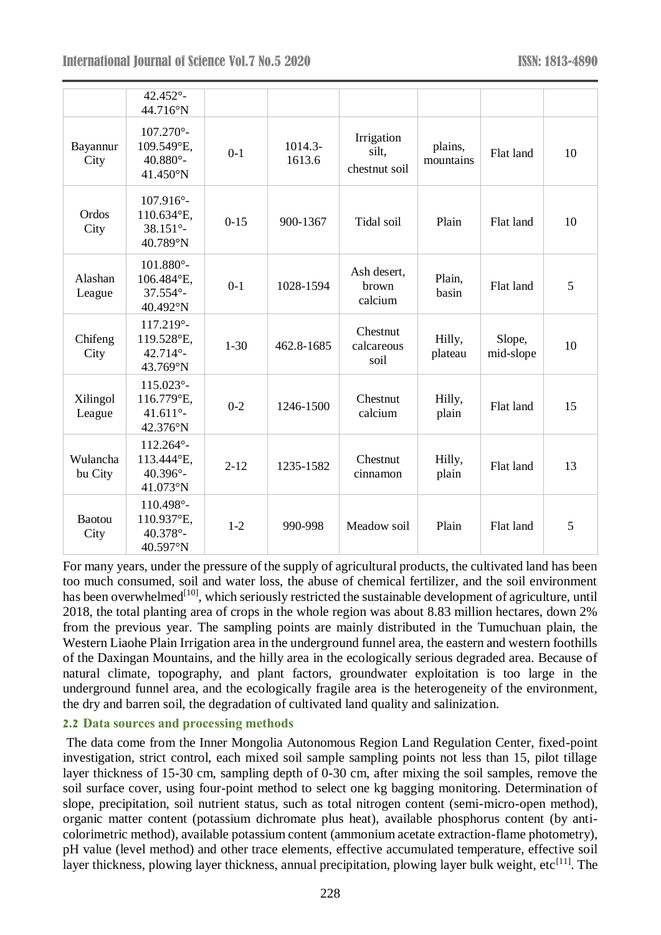|                       | 42.452°-<br>44.716°N                                                |          |                     |                                      |                      |                     |    |
|-----------------------|---------------------------------------------------------------------|----------|---------------------|--------------------------------------|----------------------|---------------------|----|
| Bayannur<br>City      | $107.270^{\circ}$ -<br>109.549°E,<br>$40.880^{\circ}$ -<br>41.450°N | $0-1$    | $1014.3-$<br>1613.6 | Irrigation<br>silt,<br>chestnut soil | plains,<br>mountains | Flat land           | 10 |
| Ordos<br>City         | $107.916^{\circ}$ -<br>110.634°E,<br>$38.151^{\circ}$ -<br>40.789°N | $0 - 15$ | 900-1367            | Tidal soil                           | Plain                | Flat land           | 10 |
| Alashan<br>League     | $101.880^{\circ}$ -<br>106.484°E,<br>$37.554^{\circ}$ -<br>40.492°N | $0-1$    | 1028-1594           | Ash desert,<br>brown<br>calcium      | Plain,<br>basin      | Flat land           | 5  |
| Chifeng<br>City       | 117.219°-<br>119.528°E,<br>$42.714^{\circ}$ -<br>43.769°N           | $1 - 30$ | 462.8-1685          | Chestnut<br>calcareous<br>soil       | Hilly,<br>plateau    | Slope,<br>mid-slope | 10 |
| Xilingol<br>League    | 115.023°-<br>116.779°E,<br>41.611 $^{\circ}$ -<br>42.376°N          | $0 - 2$  | 1246-1500           | Chestnut<br>calcium                  | Hilly,<br>plain      | Flat land           | 15 |
| Wulancha<br>bu City   | 112.264°-<br>113.444°E,<br>40.396°-<br>41.073°N                     | $2 - 12$ | 1235-1582           | Chestnut<br>cinnamon                 | Hilly,<br>plain      | Flat land           | 13 |
| <b>Baotou</b><br>City | 110.498°-<br>110.937°E,<br>40.378°-<br>40.597°N                     | $1 - 2$  | 990-998             | Meadow soil                          | Plain                | Flat land           | 5  |

For many years, under the pressure of the supply of agricultural products, the cultivated land has been too much consumed, soil and water loss, the abuse of chemical fertilizer, and the soil environment has been overwhelmed<sup>[10]</sup>, which seriously restricted the sustainable development of agriculture, until 2018, the total planting area of crops in the whole region was about 8.83 million hectares, down 2% from the previous year. The sampling points are mainly distributed in the Tumuchuan plain, the Western Liaohe Plain Irrigation area in the underground funnel area, the eastern and western foothills of the Daxingan Mountains, and the hilly area in the ecologically serious degraded area. Because of natural climate, topography, and plant factors, groundwater exploitation is too large in the underground funnel area, and the ecologically fragile area is the heterogeneity of the environment, the dry and barren soil, the degradation of cultivated land quality and salinization.

#### **2.2 Data sources and processing methods**

The data come from the Inner Mongolia Autonomous Region Land Regulation Center, fixed-point investigation, strict control, each mixed soil sample sampling points not less than 15, pilot tillage layer thickness of 15-30 cm, sampling depth of 0-30 cm, after mixing the soil samples, remove the soil surface cover, using four-point method to select one kg bagging monitoring. Determination of slope, precipitation, soil nutrient status, such as total nitrogen content (semi-micro-open method), organic matter content (potassium dichromate plus heat), available phosphorus content (by anticolorimetric method), available potassium content (ammonium acetate extraction-flame photometry), pH value (level method) and other trace elements, effective accumulated temperature, effective soil layer thickness, plowing layer thickness, annual precipitation, plowing layer bulk weight, etc<sup>[11]</sup>. The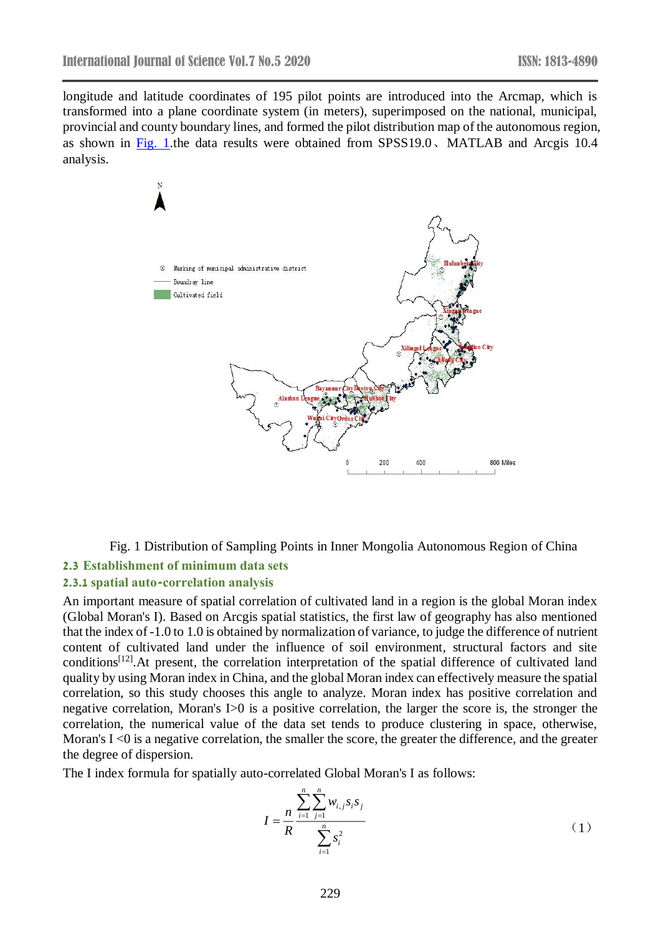longitude and latitude coordinates of 195 pilot points are introduced into the Arcmap, which is transformed into a plane coordinate system (in meters), superimposed on the national, municipal, provincial and county boundary lines, and formed the pilot distribution map of the autonomous region, as shown in Fig. 1.the data results were obtained from SPSS19.0、MATLAB and Arcgis 10.4 analysis.



Fig. 1 Distribution of Sampling Points in Inner Mongolia Autonomous Region of China

#### **2.3 Establishment of minimum data sets**

#### **2.3.1 spatial auto-correlation analysis**

An important measure of spatial correlation of cultivated land in a region is the global Moran index (Global Moran's I). Based on Arcgis spatial statistics, the first law of geography has also mentioned that the index of -1.0 to 1.0 is obtained by normalization of variance, to judge the difference of nutrient content of cultivated land under the influence of soil environment, structural factors and site conditions<sup>[12]</sup>. At present, the correlation interpretation of the spatial difference of cultivated land quality by using Moran index in China, and the global Moran index can effectively measure the spatial correlation, so this study chooses this angle to analyze. Moran index has positive correlation and negative correlation, Moran's I>0 is a positive correlation, the larger the score is, the stronger the correlation, the numerical value of the data set tends to produce clustering in space, otherwise, Moran's  $I \le 0$  is a negative correlation, the smaller the score, the greater the difference, and the greater the degree of dispersion.

The I index formula for spatially auto-correlated Global Moran's I as follows:

$$
I = \frac{n}{R} \frac{\sum_{i=1}^{n} \sum_{j=1}^{n} w_{i,j} s_i s_j}{\sum_{i=1}^{n} s_i^2}
$$
 (1)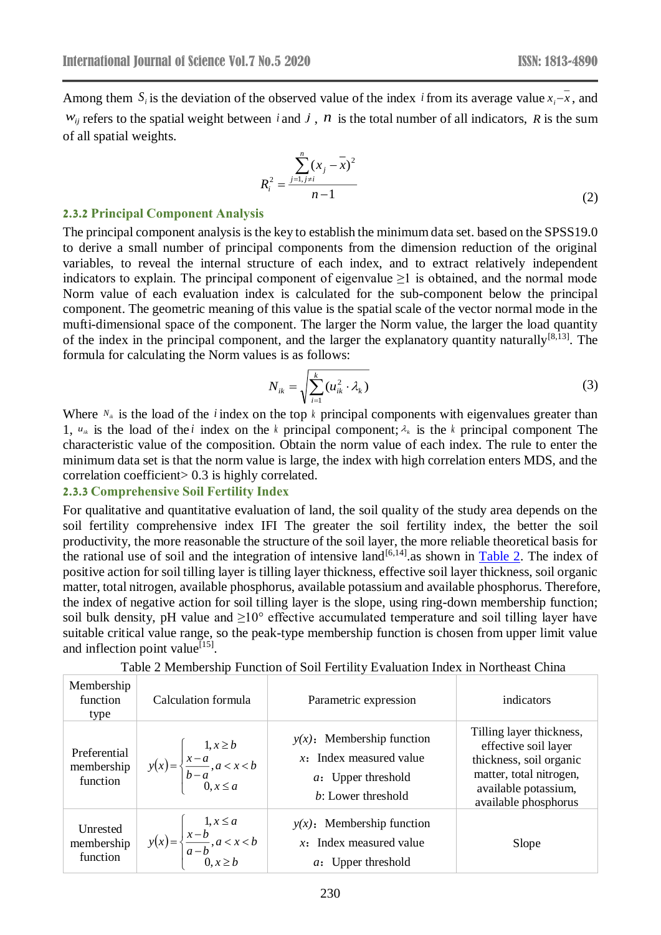Among them  $S_i$  is the deviation of the observed value of the index *i* from its average value  $x_i - x$ , and  $w_{ij}$  refers to the spatial weight between *i* and *j*, *n* is the total number of all indicators, *R* is the sum of all spatial weights.

$$
R_i^2 = \frac{\sum_{j=1, j \neq i}^{n} (x_j - \bar{x})^2}{n - 1}
$$
 (2)

#### **2.3.2 Principal Component Analysis**

The principal component analysis is the key to establish the minimum data set. based on the SPSS19.0 to derive a small number of principal components from the dimension reduction of the original variables, to reveal the internal structure of each index, and to extract relatively independent indicators to explain. The principal component of eigenvalue  $\geq 1$  is obtained, and the normal mode Norm value of each evaluation index is calculated for the sub-component below the principal component. The geometric meaning of this value is the spatial scale of the vector normal mode in the mufti-dimensional space of the component. The larger the Norm value, the larger the load quantity of the index in the principal component, and the larger the explanatory quantity naturally $[8,13]$ . The formula for calculating the Norm values is as follows:

$$
N_{ik} = \sqrt{\sum_{i=1}^{k} (u_{ik}^2 \cdot \lambda_k)}
$$
 (3)

Where  $N_{ik}$  is the load of the *i* index on the top  $k$  principal components with eigenvalues greater than 1,  $u_{ik}$  is the load of the *i* index on the *k* principal component;  $\lambda_{ik}$  is the *k* principal component The characteristic value of the composition. Obtain the norm value of each index. The rule to enter the minimum data set is that the norm value is large, the index with high correlation enters MDS, and the correlation coefficient> 0.3 is highly correlated.

#### **2.3.3 Comprehensive Soil Fertility Index**

For qualitative and quantitative evaluation of land, the soil quality of the study area depends on the soil fertility comprehensive index IFI The greater the soil fertility index, the better the soil productivity, the more reasonable the structure of the soil layer, the more reliable theoretical basis for the rational use of soil and the integration of intensive land<sup>[6,14]</sup> as shown in Table 2. The index of positive action for soil tilling layer is tilling layer thickness, effective soil layer thickness, soil organic matter, total nitrogen, available phosphorus, available potassium and available phosphorus. Therefore, the index of negative action for soil tilling layer is the slope, using ring-down membership function; soil bulk density, pH value and  $\geq 10^{\circ}$  effective accumulated temperature and soil tilling layer have suitable critical value range, so the peak-type membership function is chosen from upper limit value and inflection point value<sup>[15]</sup>.

| Membership<br>function<br>type         | Calculation formula                                                                             | Parametric expression                                                                                          | indicators                                                                                                                                             |
|----------------------------------------|-------------------------------------------------------------------------------------------------|----------------------------------------------------------------------------------------------------------------|--------------------------------------------------------------------------------------------------------------------------------------------------------|
| Preferential<br>membership<br>function | $y(x) = \begin{cases} 1, & x \ge b \\ \frac{x-a}{b-a}, & a < x < b \\ 0, & x \le a \end{cases}$ | $y(x)$ : Membership function<br>$x$ : Index measured value<br><i>a</i> : Upper threshold<br>b: Lower threshold | Tilling layer thickness,<br>effective soil layer<br>thickness, soil organic<br>matter, total nitrogen,<br>available potassium,<br>available phosphorus |
| Unrested<br>membership<br>function     | $y(x) = \begin{cases} 1, x \le a \\ \frac{x-b}{a-b}, a < x < b \\ 0, x \ge b \end{cases}$       | $y(x)$ : Membership function<br>$x$ : Index measured value<br><i>a</i> : Upper threshold                       | Slope                                                                                                                                                  |

|  | Table 2 Membership Function of Soil Fertility Evaluation Index in Northeast China |  |  |  |
|--|-----------------------------------------------------------------------------------|--|--|--|
|--|-----------------------------------------------------------------------------------|--|--|--|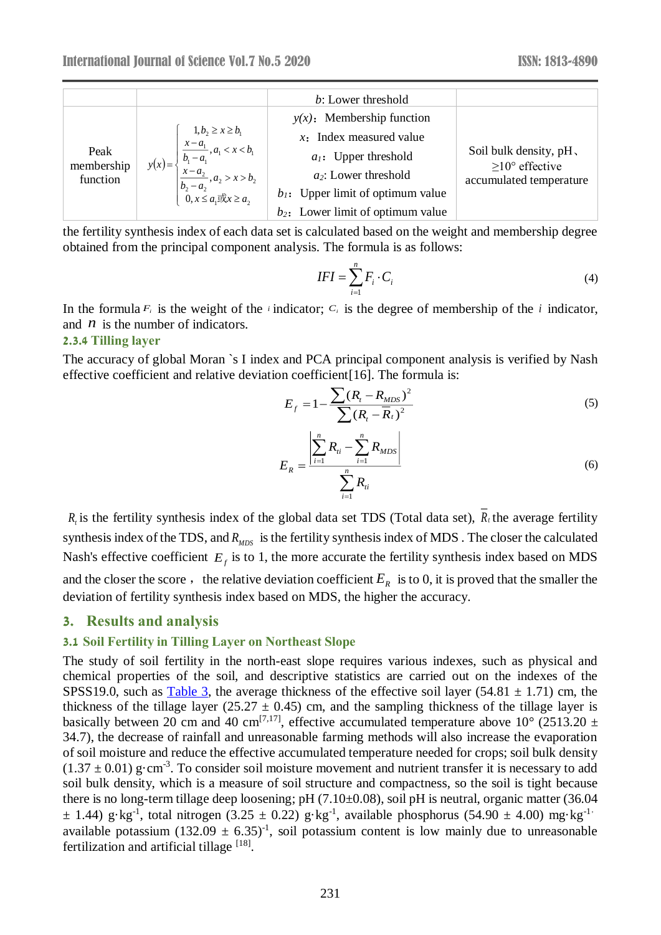|                        |                                                                                  | b: Lower threshold                   |                                                 |
|------------------------|----------------------------------------------------------------------------------|--------------------------------------|-------------------------------------------------|
|                        |                                                                                  | $y(x)$ : Membership function         |                                                 |
|                        |                                                                                  | $x$ : Index measured value           |                                                 |
| Peak                   | 1, $b_2 \ge x \ge b_1$<br>$\frac{x - a_1}{b_1 - a_1}, a_1 < x < b_1$<br>$y(x) =$ | $a_1$ : Upper threshold              | Soil bulk density, pH,                          |
| membership<br>function | $b_1 - a_1$<br>$x - a_2$<br>$b_2 - a_2$<br>$0, x \le a_1 \exists \& x \ge a_2$   | $a_2$ : Lower threshold              | $\geq$ 10° effective<br>accumulated temperature |
|                        |                                                                                  | $b_1$ : Upper limit of optimum value |                                                 |
|                        |                                                                                  | $b_2$ : Lower limit of optimum value |                                                 |

the fertility synthesis index of each data set is calculated based on the weight and membership degree obtained from the principal component analysis. The formula is as follows:

$$
IFI = \sum_{i=1}^{n} F_i \cdot C_i \tag{4}
$$

In the formula  $F_i$  is the weight of the *i* indicator;  $C_i$  is the degree of membership of the *i* indicator, and  $n$  is the number of indicators.

#### **2.3.4 Tilling layer**

The accuracy of global Moran `s I index and PCA principal component analysis is verified by Nash effective coefficient and relative deviation coefficient[16]. The formula is:

$$
E_f = 1 - \frac{\sum (R_i - R_{MDS})^2}{\sum (R_i - \overline{R}_i)^2}
$$
 (5)

$$
E_R = \frac{\left| \sum_{i=1}^n R_{ti} - \sum_{i=1}^n R_{MDS} \right|}{\sum_{i=1}^n R_{ti}}
$$
(6)

 $R_t$  is the fertility synthesis index of the global data set TDS (Total data set),  $R_t$  the average fertility synthesis index of the TDS, and  $R_{MDS}$  is the fertility synthesis index of MDS. The closer the calculated Nash's effective coefficient  $E_f$  is to 1, the more accurate the fertility synthesis index based on MDS and the closer the score, the relative deviation coefficient  $E_R$  is to 0, it is proved that the smaller the deviation of fertility synthesis index based on MDS, the higher the accuracy.

#### **3. Results and analysis**

#### **3.1 Soil Fertility in Tilling Layer on Northeast Slope**

The study of soil fertility in the north-east slope requires various indexes, such as physical and chemical properties of the soil, and descriptive statistics are carried out on the indexes of the SPSS19.0, such as  $Table 3$ , the average thickness of the effective soil layer (54.81  $\pm$  1.71) cm, the thickness of the tillage layer (25.27  $\pm$  0.45) cm, and the sampling thickness of the tillage layer is basically between 20 cm and 40 cm<sup>[7,17]</sup>, effective accumulated temperature above 10° (2513.20  $\pm$ 34.7), the decrease of rainfall and unreasonable farming methods will also increase the evaporation of soil moisture and reduce the effective accumulated temperature needed for crops; soil bulk density  $(1.37 \pm 0.01)$  g·cm<sup>-3</sup>. To consider soil moisture movement and nutrient transfer it is necessary to add soil bulk density, which is a measure of soil structure and compactness, so the soil is tight because there is no long-term tillage deep loosening; pH (7.10±0.08), soil pH is neutral, organic matter (36.04  $\pm$  1.44) g·kg<sup>-1</sup>, total nitrogen (3.25  $\pm$  0.22) g·kg<sup>-1</sup>, available phosphorus (54.90  $\pm$  4.00) mg·kg<sup>-1,</sup> available potassium  $(132.09 \pm 6.35)^{-1}$ , soil potassium content is low mainly due to unreasonable fertilization and artificial tillage [18].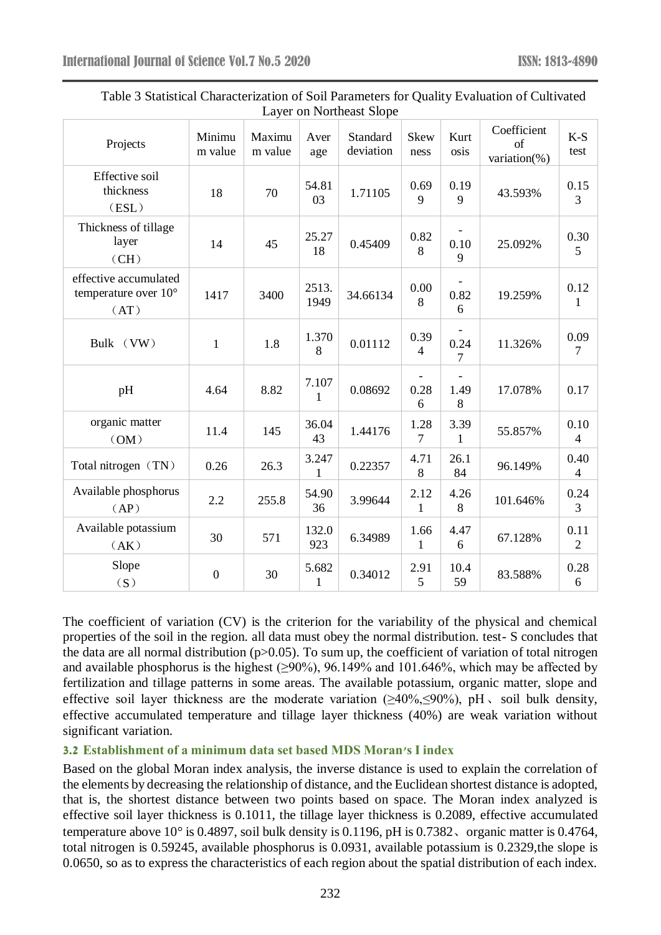| Projects                                                       | Minimu<br>m value | Maximu<br>m value | Aver<br>age           | Standard<br>deviation | Skew<br>ness           | Kurt<br>osis | Coefficient<br>of<br>variation(%) | $K-S$<br>test          |
|----------------------------------------------------------------|-------------------|-------------------|-----------------------|-----------------------|------------------------|--------------|-----------------------------------|------------------------|
| Effective soil<br>thickness<br>(ESL)                           | 18                | 70                | 54.81<br>03           | 1.71105               | 0.69<br>9              | 0.19<br>9    | 43.593%                           | 0.15<br>3              |
| Thickness of tillage<br>layer<br>(CH)                          | 14                | 45                | 25.27<br>18           | 0.45409               | 0.82<br>$\,8\,$        | 0.10<br>9    | 25.092%                           | 0.30<br>5              |
| effective accumulated<br>temperature over $10^{\circ}$<br>(AT) | 1417              | 3400              | 2513.<br>1949         | 34.66134              | $0.00\,$<br>8          | 0.82<br>6    | 19.259%                           | 0.12<br>$\mathbf{1}$   |
| Bulk (VW)                                                      | $\mathbf{1}$      | 1.8               | 1.370<br>8            | 0.01112               | 0.39<br>4              | 0.24<br>7    | 11.326%                           | 0.09<br>$\overline{7}$ |
| pH                                                             | 4.64              | 8.82              | 7.107<br>1            | 0.08692               | 0.28<br>6              | 1.49<br>8    | 17.078%                           | 0.17                   |
| organic matter<br>(OM)                                         | 11.4              | 145               | 36.04<br>43           | 1.44176               | 1.28<br>$\overline{7}$ | 3.39<br>1    | 55.857%                           | 0.10<br>$\overline{4}$ |
| Total nitrogen (TN)                                            | 0.26              | 26.3              | 3.247<br>1            | 0.22357               | 4.71<br>$8\,$          | 26.1<br>84   | 96.149%                           | 0.40<br>$\overline{4}$ |
| Available phosphorus<br>(AP)                                   | 2.2               | 255.8             | 54.90<br>36           | 3.99644               | 2.12<br>$\mathbf{1}$   | 4.26<br>8    | 101.646%                          | 0.24<br>3              |
| Available potassium<br>(AK)                                    | 30                | 571               | 132.0<br>923          | 6.34989               | 1.66<br>$\mathbf{1}$   | 4.47<br>6    | 67.128%                           | 0.11<br>$\overline{2}$ |
| Slope<br>(S)                                                   | $\overline{0}$    | 30                | 5.682<br>$\mathbf{1}$ | 0.34012               | 2.91<br>5              | 10.4<br>59   | 83.588%                           | 0.28<br>$\sqrt{6}$     |

| Table 3 Statistical Characterization of Soil Parameters for Quality Evaluation of Cultivated |  |
|----------------------------------------------------------------------------------------------|--|
| Layer on Northeast Slope                                                                     |  |

The coefficient of variation (CV) is the criterion for the variability of the physical and chemical properties of the soil in the region. all data must obey the normal distribution. test- S concludes that the data are all normal distribution  $(p>0.05)$ . To sum up, the coefficient of variation of total nitrogen and available phosphorus is the highest ( $\geq$ 90%), 96.149% and 101.646%, which may be affected by fertilization and tillage patterns in some areas. The available potassium, organic matter, slope and effective soil layer thickness are the moderate variation  $(240\% \le 90\%)$ , pH, soil bulk density, effective accumulated temperature and tillage layer thickness (40%) are weak variation without significant variation.

#### **3.2 Establishment of a minimum data set based MDS Moran's I index**

Based on the global Moran index analysis, the inverse distance is used to explain the correlation of the elements by decreasing the relationship of distance, and the Euclidean shortest distance is adopted, that is, the shortest distance between two points based on space. The Moran index analyzed is effective soil layer thickness is 0.1011, the tillage layer thickness is 0.2089, effective accumulated temperature above 10°is 0.4897, soil bulk density is 0.1196, pH is 0.7382、organic matter is 0.4764, total nitrogen is 0.59245, available phosphorus is 0.0931, available potassium is 0.2329,the slope is 0.0650, so as to express the characteristics of each region about the spatial distribution of each index.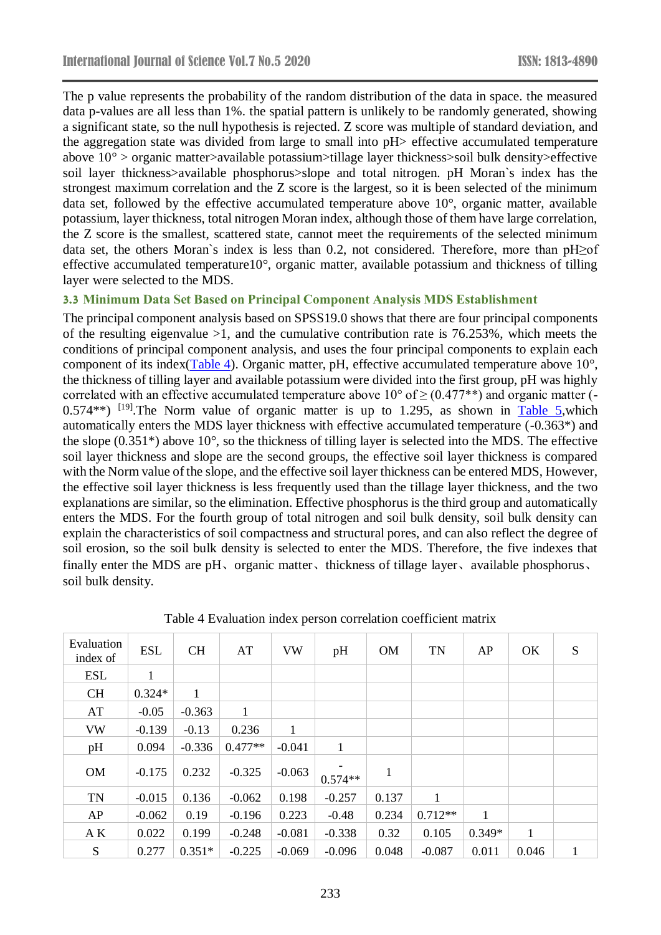The p value represents the probability of the random distribution of the data in space. the measured data p-values are all less than 1%. the spatial pattern is unlikely to be randomly generated, showing a significant state, so the null hypothesis is rejected. Z score was multiple of standard deviation, and the aggregation state was divided from large to small into pH> effective accumulated temperature above 10° > organic matter>available potassium>tillage layer thickness>soil bulk density>effective soil layer thickness>available phosphorus>slope and total nitrogen. pH Moran's index has the strongest maximum correlation and the Z score is the largest, so it is been selected of the minimum data set, followed by the effective accumulated temperature above 10°, organic matter, available potassium, layer thickness, total nitrogen Moran index, although those of them have large correlation, the Z score is the smallest, scattered state, cannot meet the requirements of the selected minimum data set, the others Moran`s index is less than 0.2, not considered. Therefore, more than pH≥of effective accumulated temperature10°, organic matter, available potassium and thickness of tilling layer were selected to the MDS.

#### **3.3 Minimum Data Set Based on Principal Component Analysis MDS Establishment**

The principal component analysis based on SPSS19.0 shows that there are four principal components of the resulting eigenvalue  $>1$ , and the cumulative contribution rate is 76.253%, which meets the conditions of principal component analysis, and uses the four principal components to explain each component of its index(Table 4). Organic matter, pH, effective accumulated temperature above 10°, the thickness of tilling layer and available potassium were divided into the first group, pH was highly correlated with an effective accumulated temperature above  $10^{\circ}$  of  $\geq$  (0.477\*\*) and organic matter (-0.574\*\*) <sup>[19]</sup>. The Norm value of organic matter is up to 1.295, as shown in Table 5, which automatically enters the MDS layer thickness with effective accumulated temperature (-0.363\*) and the slope (0.351\*) above 10°, so the thickness of tilling layer is selected into the MDS. The effective soil layer thickness and slope are the second groups, the effective soil layer thickness is compared with the Norm value of the slope, and the effective soil layer thickness can be entered MDS, However, the effective soil layer thickness is less frequently used than the tillage layer thickness, and the two explanations are similar, so the elimination. Effective phosphorus is the third group and automatically enters the MDS. For the fourth group of total nitrogen and soil bulk density, soil bulk density can explain the characteristics of soil compactness and structural pores, and can also reflect the degree of soil erosion, so the soil bulk density is selected to enter the MDS. Therefore, the five indexes that finally enter the MDS are pH, organic matter, thickness of tillage layer, available phosphorus, soil bulk density.

| Evaluation<br>index of | <b>ESL</b> | <b>CH</b>    | AT        | <b>VW</b> | pH           | <b>OM</b> | <b>TN</b> | AP       | OK    | S |
|------------------------|------------|--------------|-----------|-----------|--------------|-----------|-----------|----------|-------|---|
| <b>ESL</b>             | 1          |              |           |           |              |           |           |          |       |   |
| <b>CH</b>              | $0.324*$   | $\mathbf{1}$ |           |           |              |           |           |          |       |   |
| AT                     | $-0.05$    | $-0.363$     | 1         |           |              |           |           |          |       |   |
| <b>VW</b>              | $-0.139$   | $-0.13$      | 0.236     | 1         |              |           |           |          |       |   |
| pH                     | 0.094      | $-0.336$     | $0.477**$ | $-0.041$  | $\mathbf{1}$ |           |           |          |       |   |
| <b>OM</b>              | $-0.175$   | 0.232        | $-0.325$  | $-0.063$  | $0.574**$    | 1         |           |          |       |   |
| <b>TN</b>              | $-0.015$   | 0.136        | $-0.062$  | 0.198     | $-0.257$     | 0.137     | 1         |          |       |   |
| AP                     | $-0.062$   | 0.19         | $-0.196$  | 0.223     | $-0.48$      | 0.234     | $0.712**$ | 1        |       |   |
| AK                     | 0.022      | 0.199        | $-0.248$  | $-0.081$  | $-0.338$     | 0.32      | 0.105     | $0.349*$ | 1     |   |
| S                      | 0.277      | $0.351*$     | $-0.225$  | $-0.069$  | $-0.096$     | 0.048     | $-0.087$  | 0.011    | 0.046 | 1 |

Table 4 Evaluation index person correlation coefficient matrix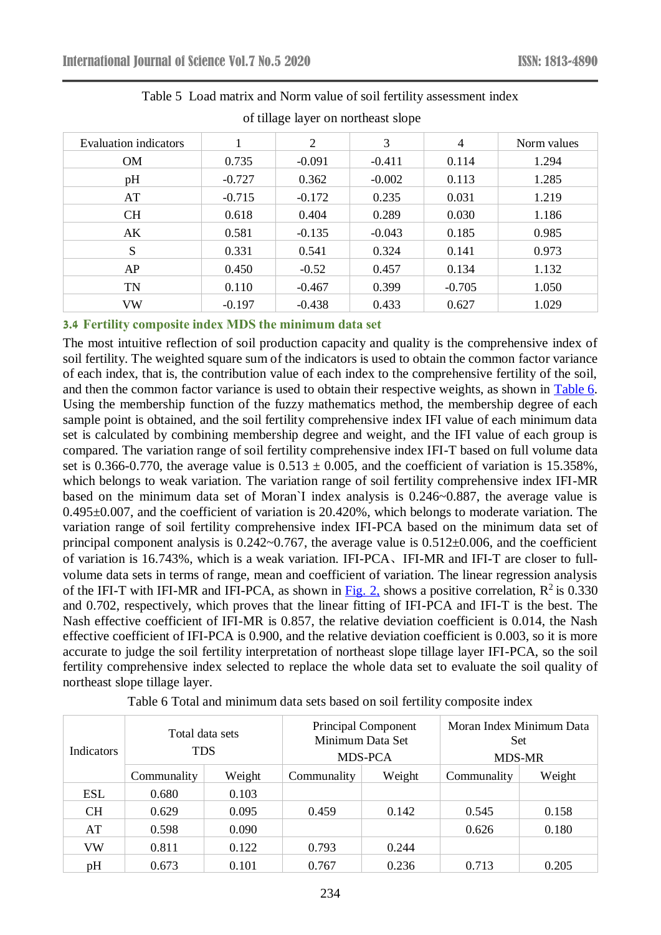| Evaluation indicators |          | 2        | 3        | $\overline{4}$ | Norm values |
|-----------------------|----------|----------|----------|----------------|-------------|
| <b>OM</b>             | 0.735    | $-0.091$ | $-0.411$ | 0.114          | 1.294       |
| pH                    | $-0.727$ | 0.362    | $-0.002$ | 0.113          | 1.285       |
| AT                    | $-0.715$ | $-0.172$ | 0.235    | 0.031          | 1.219       |
| <b>CH</b>             | 0.618    | 0.404    | 0.289    | 0.030          | 1.186       |
| AK                    | 0.581    | $-0.135$ | $-0.043$ | 0.185          | 0.985       |
| S                     | 0.331    | 0.541    | 0.324    | 0.141          | 0.973       |
| AP                    | 0.450    | $-0.52$  | 0.457    | 0.134          | 1.132       |
| <b>TN</b>             | 0.110    | $-0.467$ | 0.399    | $-0.705$       | 1.050       |
| VW                    | $-0.197$ | $-0.438$ | 0.433    | 0.627          | 1.029       |

# Table 5 Load matrix and Norm value of soil fertility assessment index

of tillage layer on northeast slope

### **3.4 Fertility composite index MDS the minimum data set**

The most intuitive reflection of soil production capacity and quality is the comprehensive index of soil fertility. The weighted square sum of the indicators is used to obtain the common factor variance of each index, that is, the contribution value of each index to the comprehensive fertility of the soil, and then the common factor variance is used to obtain their respective weights, as shown in Table 6. Using the membership function of the fuzzy mathematics method, the membership degree of each sample point is obtained, and the soil fertility comprehensive index IFI value of each minimum data set is calculated by combining membership degree and weight, and the IFI value of each group is compared. The variation range of soil fertility comprehensive index IFI-T based on full volume data set is 0.366-0.770, the average value is  $0.513 \pm 0.005$ , and the coefficient of variation is 15.358%, which belongs to weak variation. The variation range of soil fertility comprehensive index IFI-MR based on the minimum data set of Moran`I index analysis is 0.246~0.887, the average value is 0.495±0.007, and the coefficient of variation is 20.420%, which belongs to moderate variation. The variation range of soil fertility comprehensive index IFI-PCA based on the minimum data set of principal component analysis is 0.242~0.767, the average value is 0.512±0.006, and the coefficient of variation is 16.743%, which is a weak variation. IFI-PCA、IFI-MR and IFI-T are closer to fullvolume data sets in terms of range, mean and coefficient of variation. The linear regression analysis of the IFI-T with IFI-MR and IFI-PCA, as shown in  $Fig. 2$ , shows a positive correlation,  $R^2$  is 0.330 and 0.702, respectively, which proves that the linear fitting of IFI-PCA and IFI-T is the best. The Nash effective coefficient of IFI-MR is 0.857, the relative deviation coefficient is 0.014, the Nash effective coefficient of IFI-PCA is 0.900, and the relative deviation coefficient is 0.003, so it is more accurate to judge the soil fertility interpretation of northeast slope tillage layer IFI-PCA, so the soil fertility comprehensive index selected to replace the whole data set to evaluate the soil quality of northeast slope tillage layer.

| <b>Indicators</b> | Total data sets<br><b>TDS</b> |        | Minimum Data Set | <b>Principal Component</b><br>MDS-PCA | Moran Index Minimum Data<br><b>Set</b><br><b>MDS-MR</b> |        |
|-------------------|-------------------------------|--------|------------------|---------------------------------------|---------------------------------------------------------|--------|
|                   | Communality                   | Weight | Communality      | Weight                                | Communality                                             | Weight |
| <b>ESL</b>        | 0.680                         | 0.103  |                  |                                       |                                                         |        |
| <b>CH</b>         | 0.629                         | 0.095  | 0.459            | 0.142                                 | 0.545                                                   | 0.158  |
| AT                | 0.598                         | 0.090  |                  |                                       | 0.626                                                   | 0.180  |
| <b>VW</b>         | 0.811                         | 0.122  | 0.793            | 0.244                                 |                                                         |        |
| pH                | 0.673                         | 0.101  | 0.767            | 0.236                                 | 0.713                                                   | 0.205  |

Table 6 Total and minimum data sets based on soil fertility composite index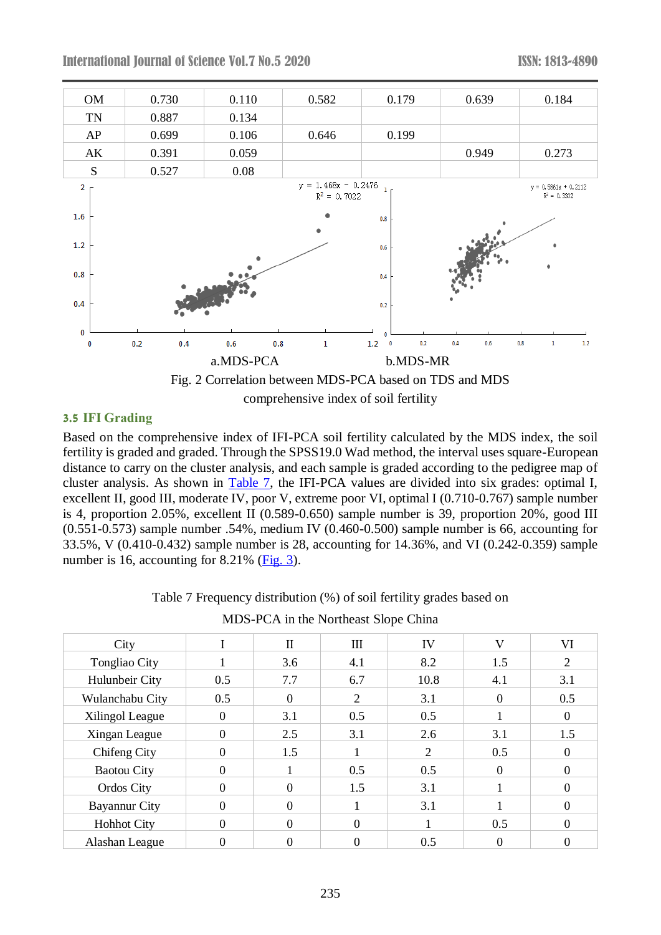

#### **3.5 IFI Grading**

Based on the comprehensive index of IFI-PCA soil fertility calculated by the MDS index, the soil fertility is graded and graded. Through the SPSS19.0 Wad method, the interval uses square-European distance to carry on the cluster analysis, and each sample is graded according to the pedigree map of cluster analysis. As shown in Table 7, the IFI-PCA values are divided into six grades: optimal I, excellent II, good III, moderate IV, poor V, extreme poor VI, optimal I (0.710-0.767) sample number is 4, proportion 2.05%, excellent II (0.589-0.650) sample number is 39, proportion 20%, good III (0.551-0.573) sample number .54%, medium IV (0.460-0.500) sample number is 66, accounting for 33.5%, V (0.410-0.432) sample number is 28, accounting for 14.36%, and VI (0.242-0.359) sample number is 16, accounting for 8.21% (Fig. 3).

| City                 |          | $\mathbf{I}$ | Ш        | IV   | V        | VI             |  |  |  |
|----------------------|----------|--------------|----------|------|----------|----------------|--|--|--|
| Tongliao City        |          | 3.6          | 4.1      | 8.2  | 1.5      | $\overline{2}$ |  |  |  |
| Hulunbeir City       | 0.5      | 7.7          | 6.7      | 10.8 | 4.1      | 3.1            |  |  |  |
| Wulanchabu City      | 0.5      | $\Omega$     | 2        | 3.1  | $\Omega$ | 0.5            |  |  |  |
| Xilingol League      | $\theta$ | 3.1          | 0.5      | 0.5  |          | $\Omega$       |  |  |  |
| Xingan League        | $\Omega$ | 2.5          | 3.1      | 2.6  | 3.1      | 1.5            |  |  |  |
| Chifeng City         | $\Omega$ | 1.5          |          | 2    | 0.5      | $\Omega$       |  |  |  |
| <b>Baotou City</b>   | $\Omega$ |              | 0.5      | 0.5  | $\Omega$ | 0              |  |  |  |
| Ordos City           | $\Omega$ | $\Omega$     | 1.5      | 3.1  |          | $\Omega$       |  |  |  |
| <b>Bayannur City</b> | $\Omega$ | $\Omega$     |          | 3.1  |          | 0              |  |  |  |
| <b>Hohhot City</b>   | $\Omega$ | $\Omega$     | $\Omega$ |      | 0.5      | $\Omega$       |  |  |  |
| Alashan League       | 0        | 0            |          | 0.5  |          |                |  |  |  |

Table 7 Frequency distribution (%) of soil fertility grades based on

| MDS-PCA in the Northeast Slope China |  |
|--------------------------------------|--|
|--------------------------------------|--|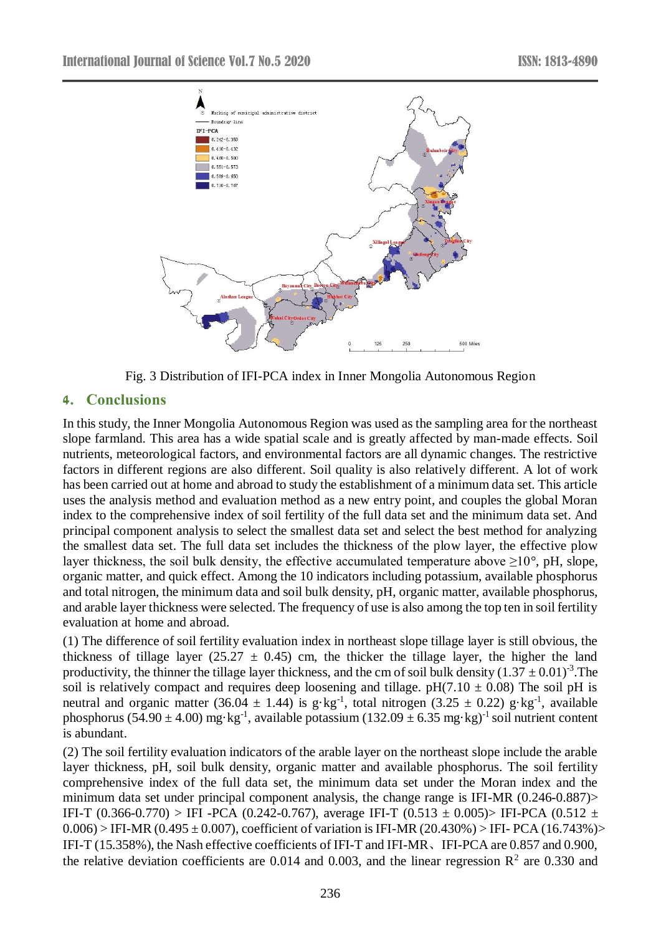

Fig. 3 Distribution of IFI-PCA index in Inner Mongolia Autonomous Region

### **4. Conclusions**

In this study, the Inner Mongolia Autonomous Region was used as the sampling area for the northeast slope farmland. This area has a wide spatial scale and is greatly affected by man-made effects. Soil nutrients, meteorological factors, and environmental factors are all dynamic changes. The restrictive factors in different regions are also different. Soil quality is also relatively different. A lot of work has been carried out at home and abroad to study the establishment of a minimum data set. This article uses the analysis method and evaluation method as a new entry point, and couples the global Moran index to the comprehensive index of soil fertility of the full data set and the minimum data set. And principal component analysis to select the smallest data set and select the best method for analyzing the smallest data set. The full data set includes the thickness of the plow layer, the effective plow layer thickness, the soil bulk density, the effective accumulated temperature above  $\geq 10^{\circ}$ , pH, slope, organic matter, and quick effect. Among the 10 indicators including potassium, available phosphorus and total nitrogen, the minimum data and soil bulk density, pH, organic matter, available phosphorus, and arable layer thickness were selected. The frequency of use is also among the top ten in soil fertility evaluation at home and abroad.

(1) The difference of soil fertility evaluation index in northeast slope tillage layer is still obvious, the thickness of tillage layer (25.27  $\pm$  0.45) cm, the thicker the tillage layer, the higher the land productivity, the thinner the tillage layer thickness, and the cm of soil bulk density  $(1.37 \pm 0.01)^{-3}$ . The soil is relatively compact and requires deep loosening and tillage.  $pH(7.10 \pm 0.08)$  The soil pH is neutral and organic matter (36.04  $\pm$  1.44) is g·kg<sup>-1</sup>, total nitrogen (3.25  $\pm$  0.22) g·kg<sup>-1</sup>, available phosphorus (54.90  $\pm$  4.00) mg·kg<sup>-1</sup>, available potassium (132.09  $\pm$  6.35 mg·kg)<sup>-1</sup> soil nutrient content is abundant.

(2) The soil fertility evaluation indicators of the arable layer on the northeast slope include the arable layer thickness, pH, soil bulk density, organic matter and available phosphorus. The soil fertility comprehensive index of the full data set, the minimum data set under the Moran index and the minimum data set under principal component analysis, the change range is IFI-MR (0.246-0.887)> IFI-T (0.366-0.770) > IFI -PCA (0.242-0.767), average IFI-T (0.513  $\pm$  0.005) > IFI-PCA (0.512  $\pm$  $0.006$ ) > IFI-MR (0.495  $\pm$  0.007), coefficient of variation is IFI-MR (20.430%) > IFI- PCA (16.743%)> IFI-T (15.358%), the Nash effective coefficients of IFI-T and IFI-MR、IFI-PCA are 0.857 and 0.900, the relative deviation coefficients are 0.014 and 0.003, and the linear regression  $\mathbb{R}^2$  are 0.330 and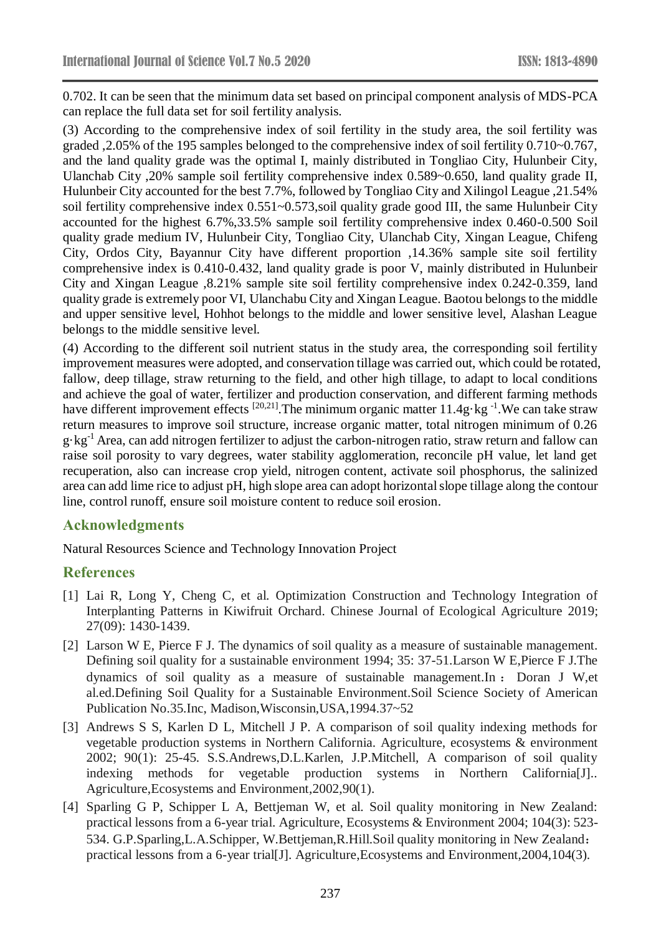0.702. It can be seen that the minimum data set based on principal component analysis of MDS-PCA can replace the full data set for soil fertility analysis.

(3) According to the comprehensive index of soil fertility in the study area, the soil fertility was graded ,2.05% of the 195 samples belonged to the comprehensive index of soil fertility 0.710~0.767, and the land quality grade was the optimal I, mainly distributed in Tongliao City, Hulunbeir City, Ulanchab City ,20% sample soil fertility comprehensive index 0.589~0.650, land quality grade II, Hulunbeir City accounted for the best 7.7%, followed by Tongliao City and Xilingol League ,21.54% soil fertility comprehensive index 0.551~0.573,soil quality grade good III, the same Hulunbeir City accounted for the highest 6.7%,33.5% sample soil fertility comprehensive index 0.460-0.500 Soil quality grade medium IV, Hulunbeir City, Tongliao City, Ulanchab City, Xingan League, Chifeng City, Ordos City, Bayannur City have different proportion ,14.36% sample site soil fertility comprehensive index is 0.410-0.432, land quality grade is poor V, mainly distributed in Hulunbeir City and Xingan League ,8.21% sample site soil fertility comprehensive index 0.242-0.359, land quality grade is extremely poor VI, Ulanchabu City and Xingan League. Baotou belongs to the middle and upper sensitive level, Hohhot belongs to the middle and lower sensitive level, Alashan League belongs to the middle sensitive level.

(4) According to the different soil nutrient status in the study area, the corresponding soil fertility improvement measures were adopted, and conservation tillage was carried out, which could be rotated, fallow, deep tillage, straw returning to the field, and other high tillage, to adapt to local conditions and achieve the goal of water, fertilizer and production conservation, and different farming methods have different improvement effects  $^{[20,21]}$ . The minimum organic matter 11.4g·kg<sup>-1</sup>. We can take straw return measures to improve soil structure, increase organic matter, total nitrogen minimum of 0.26 g·kg-1 Area, can add nitrogen fertilizer to adjust the carbon-nitrogen ratio, straw return and fallow can raise soil porosity to vary degrees, water stability agglomeration, reconcile pH value, let land get recuperation, also can increase crop yield, nitrogen content, activate soil phosphorus, the salinized area can add lime rice to adjust pH, high slope area can adopt horizontal slope tillage along the contour line, control runoff, ensure soil moisture content to reduce soil erosion.

# **Acknowledgments**

Natural Resources Science and Technology Innovation Project

# **References**

- [1] Lai R, Long Y, Cheng C, et al. Optimization Construction and Technology Integration of Interplanting Patterns in Kiwifruit Orchard. Chinese Journal of Ecological Agriculture 2019; 27(09): 1430-1439.
- [2] Larson W E, Pierce F J. The dynamics of soil quality as a measure of sustainable management. Defining soil quality for a sustainable environment 1994; 35: 37-51.Larson W E,Pierce F J.The dynamics of soil quality as a measure of sustainable management.In : Doran J W,et al.ed.Defining Soil Quality for a Sustainable Environment.Soil Science Society of American Publication No.35.Inc, Madison,Wisconsin,USA,1994.37~52
- [3] Andrews S S, Karlen D L, Mitchell J P. A comparison of soil quality indexing methods for vegetable production systems in Northern California. Agriculture, ecosystems & environment 2002; 90(1): 25-45. S.S.Andrews,D.L.Karlen, J.P.Mitchell, A comparison of soil quality indexing methods for vegetable production systems in Northern California[J].. Agriculture,Ecosystems and Environment,2002,90(1).
- [4] Sparling G P, Schipper L A, Bettjeman W, et al. Soil quality monitoring in New Zealand: practical lessons from a 6-year trial. Agriculture, Ecosystems & Environment 2004; 104(3): 523- 534. G.P.Sparling,L.A.Schipper, W.Bettjeman,R.Hill.Soil quality monitoring in New Zealand: practical lessons from a 6-year trial[J]. Agriculture,Ecosystems and Environment,2004,104(3).